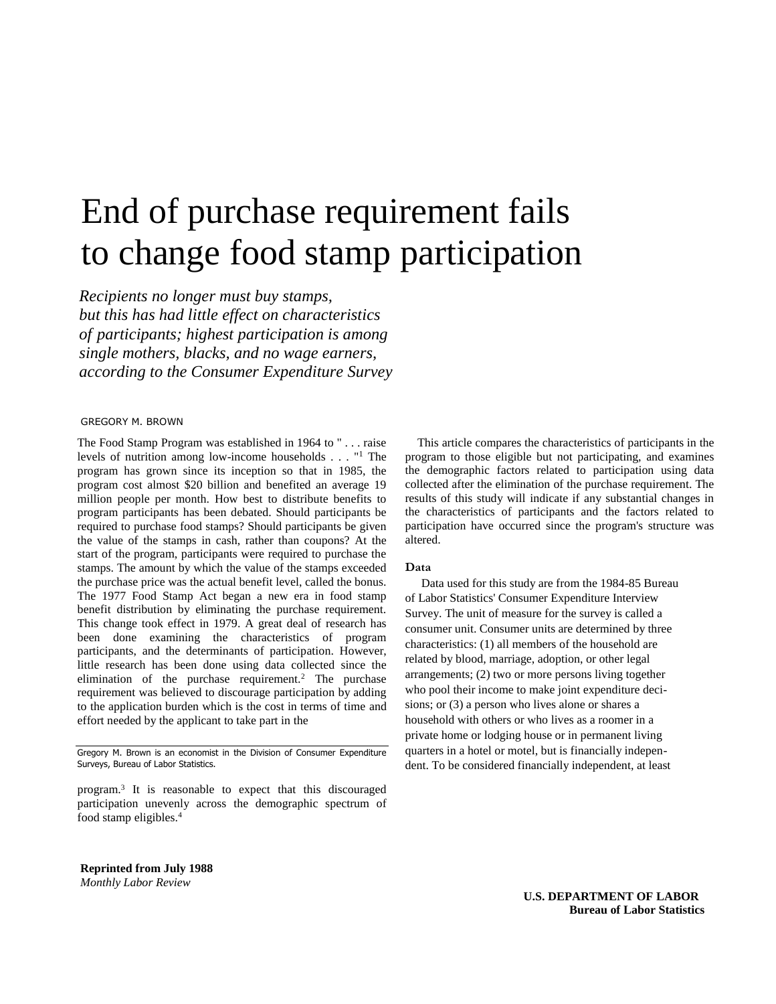## End of purchase requirement fails to change food stamp participation

*Recipients no longer must buy stamps, but this has had little effect on characteristics of participants; highest participation is among single mothers, blacks, and no wage earners, according to the Consumer Expenditure Survey* 

#### GREGORY M. BROWN

The Food Stamp Program was established in 1964 to " . . . raise levels of nutrition among low-income households  $\ldots$  "<sup>1</sup> The program has grown since its inception so that in 1985, the program cost almost \$20 billion and benefited an average 19 million people per month. How best to distribute benefits to program participants has been debated. Should participants be required to purchase food stamps? Should participants be given the value of the stamps in cash, rather than coupons? At the start of the program, participants were required to purchase the stamps. The amount by which the value of the stamps exceeded the purchase price was the actual benefit level, called the bonus. The 1977 Food Stamp Act began a new era in food stamp benefit distribution by eliminating the purchase requirement. This change took effect in 1979. A great deal of research has been done examining the characteristics of program participants, and the determinants of participation. However, little research has been done using data collected since the elimination of the purchase requirement.<sup>2</sup> The purchase requirement was believed to discourage participation by adding to the application burden which is the cost in terms of time and effort needed by the applicant to take part in the

Gregory M. Brown is an economist in the Division of Consumer Expenditure Surveys, Bureau of Labor Statistics.

program.<sup>3</sup> It is reasonable to expect that this discouraged participation unevenly across the demographic spectrum of food stamp eligibles.<sup>4</sup>

This article compares the characteristics of participants in the program to those eligible but not participating, and examines the demographic factors related to participation using data collected after the elimination of the purchase requirement. The results of this study will indicate if any substantial changes in the characteristics of participants and the factors related to participation have occurred since the program's structure was altered.

#### **Data**

 Data used for this study are from the 1984-85 Bureau of Labor Statistics' Consumer Expenditure Interview Survey. The unit of measure for the survey is called a consumer unit. Consumer units are determined by three characteristics: (1) all members of the household are related by blood, marriage, adoption, or other legal arrangements; (2) two or more persons living together who pool their income to make joint expenditure decisions; or (3) a person who lives alone or shares a household with others or who lives as a roomer in a private home or lodging house or in permanent living quarters in a hotel or motel, but is financially independent. To be considered financially independent, at least

**Reprinted from July 1988**  *Monthly Labor Review* 

> **U.S. DEPARTMENT OF LABOR Bureau of Labor Statistics**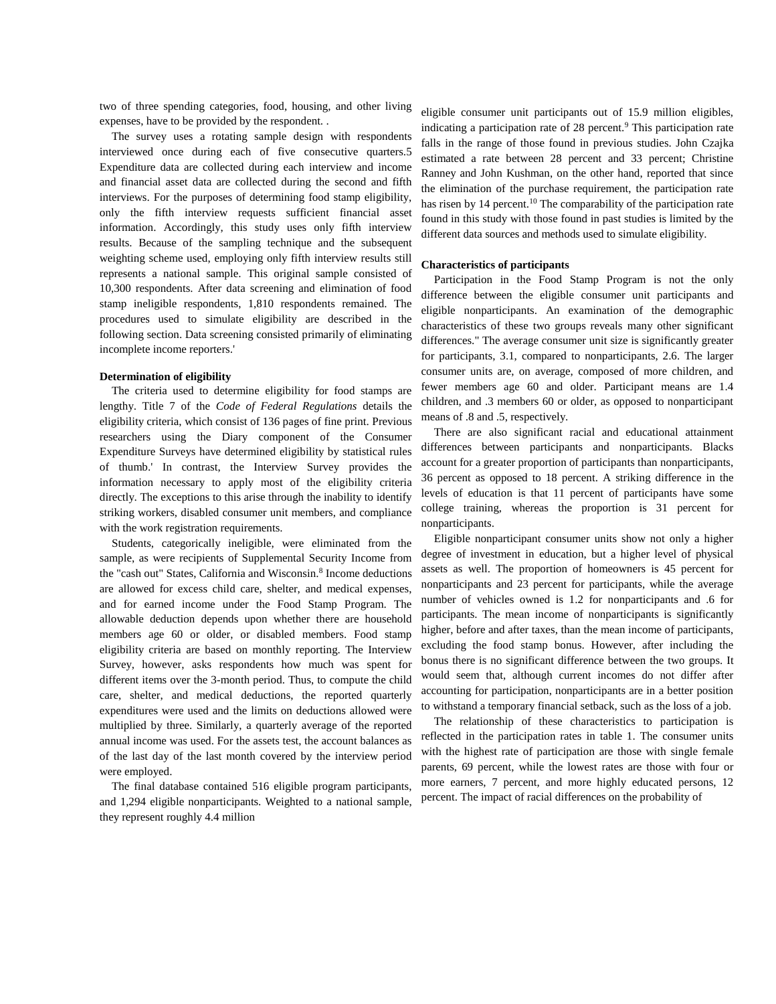two of three spending categories, food, housing, and other living expenses, have to be provided by the respondent. .

The survey uses a rotating sample design with respondents interviewed once during each of five consecutive quarters.5 Expenditure data are collected during each interview and income and financial asset data are collected during the second and fifth interviews. For the purposes of determining food stamp eligibility, only the fifth interview requests sufficient financial asset information. Accordingly, this study uses only fifth interview results. Because of the sampling technique and the subsequent weighting scheme used, employing only fifth interview results still represents a national sample. This original sample consisted of 10,300 respondents. After data screening and elimination of food stamp ineligible respondents, 1,810 respondents remained. The procedures used to simulate eligibility are described in the following section. Data screening consisted primarily of eliminating incomplete income reporters.'

#### **Determination of eligibility**

The criteria used to determine eligibility for food stamps are lengthy. Title 7 of the *Code of Federal Regulations* details the eligibility criteria, which consist of 136 pages of fine print. Previous researchers using the Diary component of the Consumer Expenditure Surveys have determined eligibility by statistical rules of thumb.' In contrast, the Interview Survey provides the information necessary to apply most of the eligibility criteria directly. The exceptions to this arise through the inability to identify striking workers, disabled consumer unit members, and compliance with the work registration requirements.

Students, categorically ineligible, were eliminated from the sample, as were recipients of Supplemental Security Income from the "cash out" States, California and Wisconsin.<sup>8</sup> Income deductions are allowed for excess child care, shelter, and medical expenses, and for earned income under the Food Stamp Program. The allowable deduction depends upon whether there are household members age 60 or older, or disabled members. Food stamp eligibility criteria are based on monthly reporting. The Interview Survey, however, asks respondents how much was spent for different items over the 3-month period. Thus, to compute the child care, shelter, and medical deductions, the reported quarterly expenditures were used and the limits on deductions allowed were multiplied by three. Similarly, a quarterly average of the reported annual income was used. For the assets test, the account balances as of the last day of the last month covered by the interview period were employed.

The final database contained 516 eligible program participants, and 1,294 eligible nonparticipants. Weighted to a national sample, they represent roughly 4.4 million

eligible consumer unit participants out of 15.9 million eligibles, indicating a participation rate of 28 percent.<sup>9</sup> This participation rate falls in the range of those found in previous studies. John Czajka estimated a rate between 28 percent and 33 percent; Christine Ranney and John Kushman, on the other hand, reported that since the elimination of the purchase requirement, the participation rate has risen by 14 percent.<sup>10</sup> The comparability of the participation rate found in this study with those found in past studies is limited by the different data sources and methods used to simulate eligibility.

#### **Characteristics of participants**

Participation in the Food Stamp Program is not the only difference between the eligible consumer unit participants and eligible nonparticipants. An examination of the demographic characteristics of these two groups reveals many other significant differences." The average consumer unit size is significantly greater for participants, 3.1, compared to nonparticipants, 2.6. The larger consumer units are, on average, composed of more children, and fewer members age 60 and older. Participant means are 1.4 children, and .3 members 60 or older, as opposed to nonparticipant means of .8 and .5, respectively.

There are also significant racial and educational attainment differences between participants and nonparticipants. Blacks account for a greater proportion of participants than nonparticipants, 36 percent as opposed to 18 percent. A striking difference in the levels of education is that 11 percent of participants have some college training, whereas the proportion is 31 percent for nonparticipants.

Eligible nonparticipant consumer units show not only a higher degree of investment in education, but a higher level of physical assets as well. The proportion of homeowners is 45 percent for nonparticipants and 23 percent for participants, while the average number of vehicles owned is 1.2 for nonparticipants and .6 for participants. The mean income of nonparticipants is significantly higher, before and after taxes, than the mean income of participants, excluding the food stamp bonus. However, after including the bonus there is no significant difference between the two groups. It would seem that, although current incomes do not differ after accounting for participation, nonparticipants are in a better position to withstand a temporary financial setback, such as the loss of a job.

The relationship of these characteristics to participation is reflected in the participation rates in table 1. The consumer units with the highest rate of participation are those with single female parents, 69 percent, while the lowest rates are those with four or more earners, 7 percent, and more highly educated persons, 12 percent. The impact of racial differences on the probability of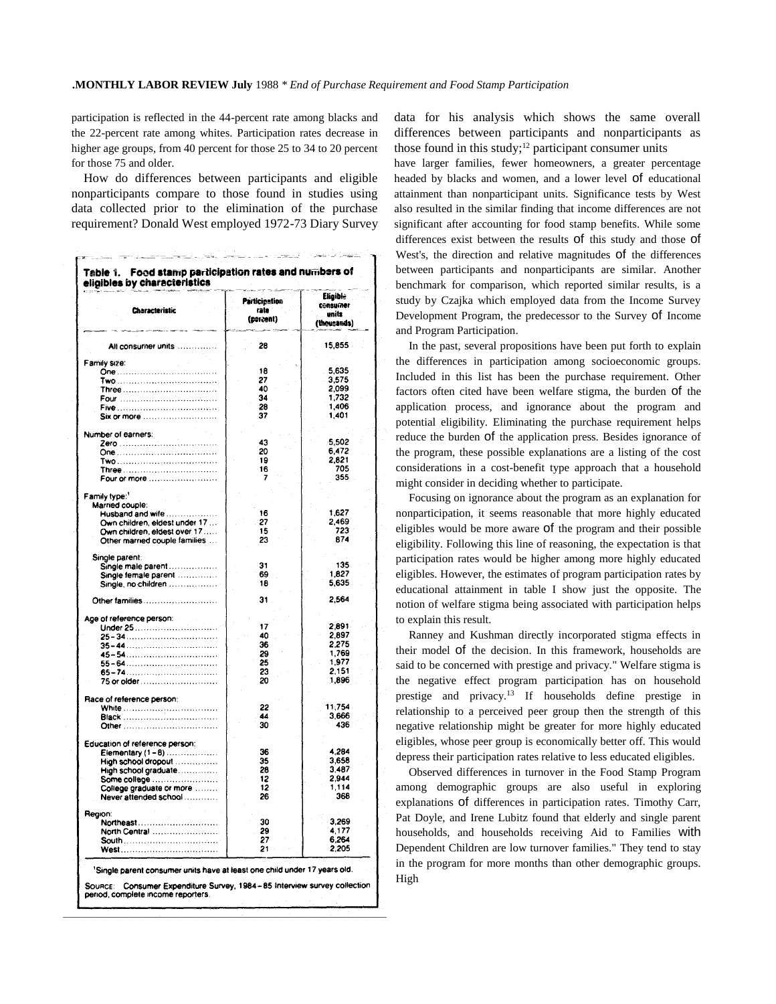participation is reflected in the 44-percent rate among blacks and the 22-percent rate among whites. Participation rates decrease in higher age groups, from 40 percent for those 25 to 34 to 20 percent for those 75 and older.

How do differences between participants and eligible nonparticipants compare to those found in studies using data collected prior to the elimination of the purchase requirement? Donald West employed 1972-73 Diary Survey

| <b>Characteristic</b>                       | <b>Participation</b><br>rate<br>(percent) | Elicible<br><b>CONSUMER</b><br>units<br>(theusands) |  |
|---------------------------------------------|-------------------------------------------|-----------------------------------------------------|--|
| All consumer units                          | 28                                        | 15,855                                              |  |
| Family size:                                |                                           |                                                     |  |
|                                             | 18<br>27                                  | 5.635<br>3,575                                      |  |
|                                             | 40                                        | 2.099                                               |  |
| Four                                        | 34                                        | 1,732                                               |  |
|                                             | 28                                        | 1,406                                               |  |
| Six or more                                 | 37                                        | 1,401                                               |  |
| Number of earners:                          |                                           |                                                     |  |
| Zero                                        | 43                                        | 5,502                                               |  |
|                                             | 20                                        | 6,472                                               |  |
|                                             | 19<br>16                                  | 2,821<br>705                                        |  |
| Four or more                                | 7                                         | 355                                                 |  |
|                                             |                                           |                                                     |  |
| Family type:1<br>Married couple:            |                                           |                                                     |  |
| Husband and wife                            | 16                                        | 1,627                                               |  |
| Own children, eldest under 17               | 27                                        | 2,469                                               |  |
| Own children, eldest over 17                | 15                                        | 723                                                 |  |
| Other married couple families               | 23                                        | 874                                                 |  |
| Single parent:                              |                                           |                                                     |  |
| Single male parent                          | 31<br>69                                  | 135<br>1.827                                        |  |
| Single female parent<br>Single, no children | 18                                        | 5,635                                               |  |
| Other families                              | 31                                        | 2,564                                               |  |
| Age of reference person:                    |                                           |                                                     |  |
| Under 25                                    | 17                                        | 2.891                                               |  |
|                                             | 40                                        | 2,897                                               |  |
| $35 - 44$                                   | 36<br>29                                  | 2,275<br>1,769                                      |  |
|                                             | 25                                        | 1,977                                               |  |
|                                             | 23                                        | 2,151                                               |  |
| 75 or older                                 | 20                                        | 1.896                                               |  |
| Race of reference person:                   |                                           |                                                     |  |
| White                                       | 22                                        | 11,754                                              |  |
| <b>Black</b>                                | 44                                        | 3,666                                               |  |
| Other                                       | 30                                        | 436                                                 |  |
| Education of reference person:              |                                           |                                                     |  |
| Elementary $(1-8)$                          | 36                                        | 4.284                                               |  |
| High school dropout                         | 35                                        | 3,658<br>3,487                                      |  |
| High school graduate<br>Some college        | 28<br>12                                  | 2,944                                               |  |
| College graduate or more                    | 12                                        | 1 1 1 4                                             |  |
| Never attended school                       | 26                                        | 368                                                 |  |
| Region:                                     |                                           |                                                     |  |
| Northeast                                   | 30                                        | 3.269                                               |  |
| North Central                               | 29                                        | 4,177                                               |  |
| <b>South</b>                                | 27                                        | 6.264                                               |  |
|                                             | 21                                        | 2,205                                               |  |

data for his analysis which shows the same overall differences between participants and nonparticipants as those found in this study; $12$  participant consumer units

have larger families, fewer homeowners, a greater percentage headed by blacks and women, and a lower level of educational attainment than nonparticipant units. Significance tests by West also resulted in the similar finding that income differences are not significant after accounting for food stamp benefits. While some differences exist between the results of this study and those of West's, the direction and relative magnitudes of the differences between participants and nonparticipants are similar. Another benchmark for comparison, which reported similar results, is a study by Czajka which employed data from the Income Survey Development Program, the predecessor to the Survey of Income and Program Participation.

In the past, several propositions have been put forth to explain the differences in participation among socioeconomic groups. Included in this list has been the purchase requirement. Other factors often cited have been welfare stigma, the burden of the application process, and ignorance about the program and potential eligibility. Eliminating the purchase requirement helps reduce the burden of the application press. Besides ignorance of the program, these possible explanations are a listing of the cost considerations in a cost-benefit type approach that a household might consider in deciding whether to participate.

Focusing on ignorance about the program as an explanation for nonparticipation, it seems reasonable that more highly educated eligibles would be more aware of the program and their possible eligibility. Following this line of reasoning, the expectation is that participation rates would be higher among more highly educated eligibles. However, the estimates of program participation rates by educational attainment in table I show just the opposite. The notion of welfare stigma being associated with participation helps to explain this result.

Ranney and Kushman directly incorporated stigma effects in their model of the decision. In this framework, households are said to be concerned with prestige and privacy." Welfare stigma is the negative effect program participation has on household prestige and privacy.<sup>13</sup> If households define prestige in relationship to a perceived peer group then the strength of this negative relationship might be greater for more highly educated eligibles, whose peer group is economically better off. This would depress their participation rates relative to less educated eligibles.

Observed differences in turnover in the Food Stamp Program among demographic groups are also useful in exploring explanations of differences in participation rates. Timothy Carr, Pat Doyle, and Irene Lubitz found that elderly and single parent households, and households receiving Aid to Families with Dependent Children are low turnover families." They tend to stay in the program for more months than other demographic groups. High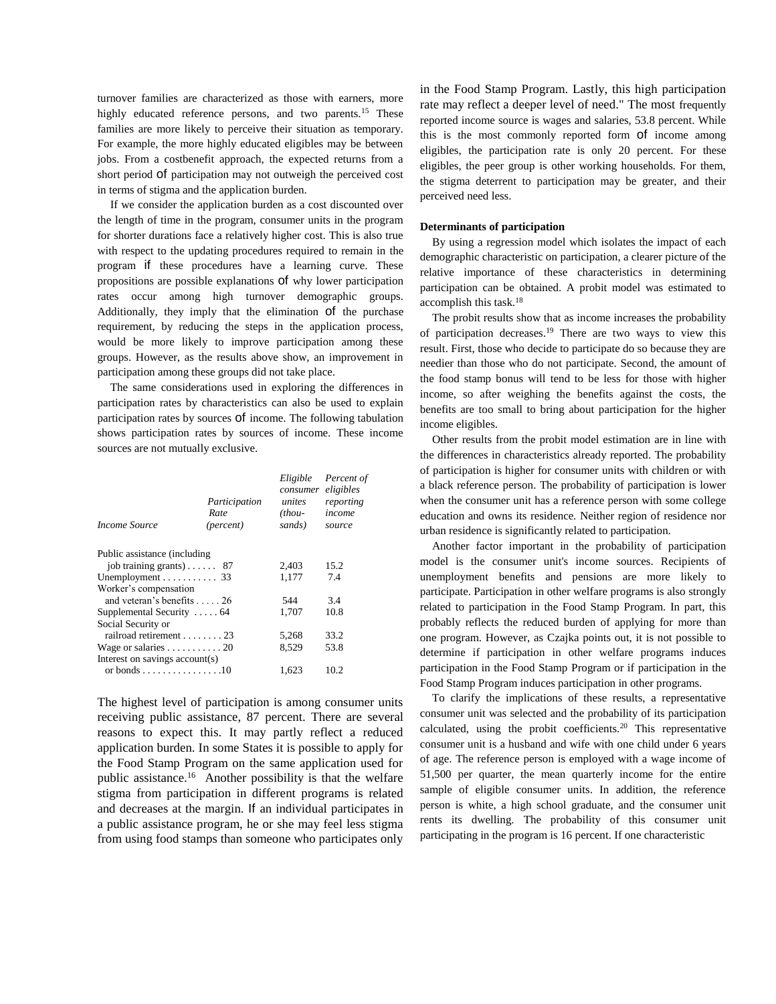turnover families are characterized as those with earners, more highly educated reference persons, and two parents.<sup>15</sup> These families are more likely to perceive their situation as temporary. For example, the more highly educated eligibles may be between jobs. From a costbenefit approach, the expected returns from a short period of participation may not outweigh the perceived cost in terms of stigma and the application burden.

If we consider the application burden as a cost discounted over the length of time in the program, consumer units in the program for shorter durations face a relatively higher cost. This is also true with respect to the updating procedures required to remain in the program if these procedures have a learning curve. These propositions are possible explanations of why lower participation rates occur among high turnover demographic groups. Additionally, they imply that the elimination of the purchase requirement, by reducing the steps in the application process, would be more likely to improve participation among these groups. However, as the results above show, an improvement in participation among these groups did not take place.

The same considerations used in exploring the differences in participation rates by characteristics can also be used to explain participation rates by sources of income. The following tabulation shows participation rates by sources of income. These income sources are not mutually exclusive.

| Participation<br>Rate<br>( <i>percent</i> )      | Eligible<br>consumer<br>unites<br>$(thou-$<br>sands) | Percent of<br>eligibles<br>reporting<br>income<br>source |
|--------------------------------------------------|------------------------------------------------------|----------------------------------------------------------|
| Public assistance (including                     |                                                      |                                                          |
| job training grants) 87                          | 2,403                                                | 15.2                                                     |
| Unemployment $\dots\dots\dots\dots$ 33           | 1,177                                                | 7.4                                                      |
|                                                  |                                                      |                                                          |
| and veteran's benefits 26                        | 544                                                  | 3.4                                                      |
| Supplemental Security  64                        | 1,707                                                | 10.8                                                     |
|                                                  |                                                      |                                                          |
| railroad retirement 23                           | 5,268                                                | 33.2                                                     |
| Wage or salaries $\ldots \ldots \ldots 20$       | 8.529                                                | 53.8                                                     |
| Interest on savings account(s)                   |                                                      |                                                          |
| or bonds $\ldots \ldots \ldots \ldots \ldots 10$ | 1,623                                                | 10.2                                                     |
|                                                  |                                                      |                                                          |

The highest level of participation is among consumer units receiving public assistance, 87 percent. There are several reasons to expect this. It may partly reflect a reduced application burden. In some States it is possible to apply for the Food Stamp Program on the same application used for public assistance.<sup>16</sup> Another possibility is that the welfare stigma from participation in different programs is related and decreases at the margin. If an individual participates in a public assistance program, he or she may feel less stigma from using food stamps than someone who participates only

in the Food Stamp Program. Lastly, this high participation rate may reflect a deeper level of need." The most frequently reported income source is wages and salaries, 53.8 percent. While this is the most commonly reported form of income among eligibles, the participation rate is only 20 percent. For these eligibles, the peer group is other working households. For them, the stigma deterrent to participation may be greater, and their perceived need less.

#### **Determinants of participation**

By using a regression model which isolates the impact of each demographic characteristic on participation, a clearer picture of the relative importance of these characteristics in determining participation can be obtained. A probit model was estimated to accomplish this task.<sup>18</sup>

The probit results show that as income increases the probability of participation decreases.<sup>19</sup> There are two ways to view this result. First, those who decide to participate do so because they are needier than those who do not participate. Second, the amount of the food stamp bonus will tend to be less for those with higher income, so after weighing the benefits against the costs, the benefits are too small to bring about participation for the higher income eligibles.

Other results from the probit model estimation are in line with the differences in characteristics already reported. The probability of participation is higher for consumer units with children or with a black reference person. The probability of participation is lower when the consumer unit has a reference person with some college education and owns its residence. Neither region of residence nor urban residence is significantly related to participation.

Another factor important in the probability of participation model is the consumer unit's income sources. Recipients of unemployment benefits and pensions are more likely to participate. Participation in other welfare programs is also strongly related to participation in the Food Stamp Program. In part, this probably reflects the reduced burden of applying for more than one program. However, as Czajka points out, it is not possible to determine if participation in other welfare programs induces participation in the Food Stamp Program or if participation in the Food Stamp Program induces participation in other programs.

To clarify the implications of these results, a representative consumer unit was selected and the probability of its participation calculated, using the probit coefficients.<sup>20</sup> This representative consumer unit is a husband and wife with one child under 6 years of age. The reference person is employed with a wage income of 51,500 per quarter, the mean quarterly income for the entire sample of eligible consumer units. In addition, the reference person is white, a high school graduate, and the consumer unit rents its dwelling. The probability of this consumer unit participating in the program is 16 percent. If one characteristic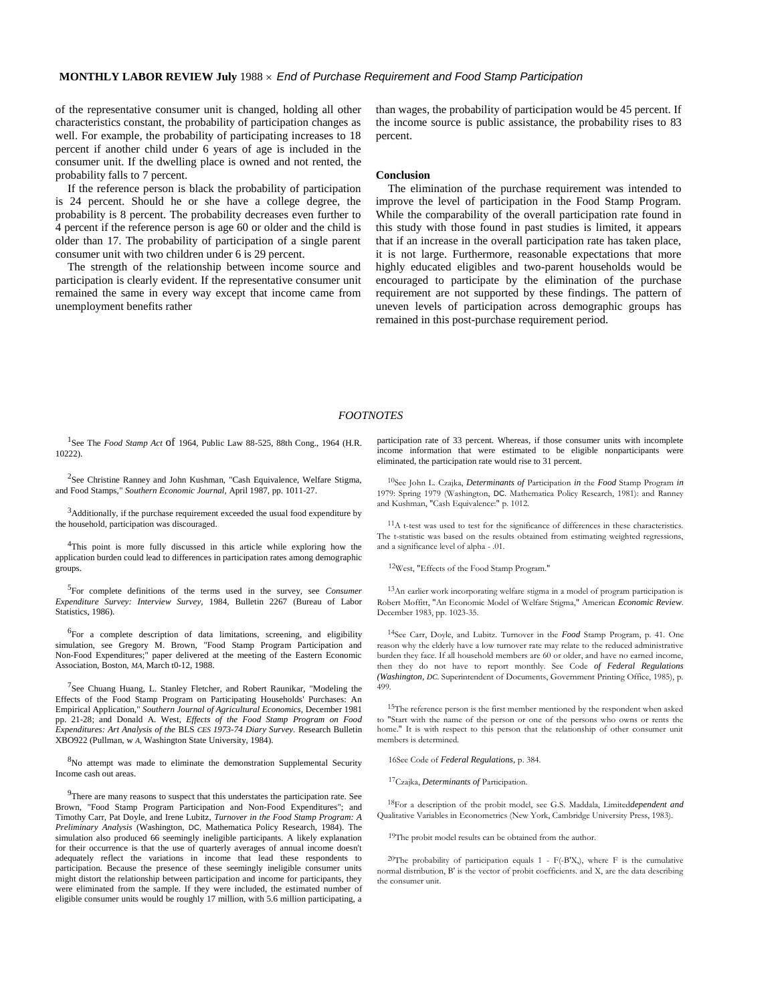of the representative consumer unit is changed, holding all other characteristics constant, the probability of participation changes as well. For example, the probability of participating increases to 18 percent if another child under 6 years of age is included in the consumer unit. If the dwelling place is owned and not rented, the probability falls to 7 percent.

If the reference person is black the probability of participation is 24 percent. Should he or she have a college degree, the probability is 8 percent. The probability decreases even further to 4 percent if the reference person is age 60 or older and the child is older than 17. The probability of participation of a single parent consumer unit with two children under 6 is 29 percent.

The strength of the relationship between income source and participation is clearly evident. If the representative consumer unit remained the same in every way except that income came from unemployment benefits rather

than wages, the probability of participation would be 45 percent. If the income source is public assistance, the probability rises to 83 percent.

#### **Conclusion**

The elimination of the purchase requirement was intended to improve the level of participation in the Food Stamp Program. While the comparability of the overall participation rate found in this study with those found in past studies is limited, it appears that if an increase in the overall participation rate has taken place, it is not large. Furthermore, reasonable expectations that more highly educated eligibles and two-parent households would be encouraged to participate by the elimination of the purchase requirement are not supported by these findings. The pattern of uneven levels of participation across demographic groups has remained in this post-purchase requirement period.

#### *FOOTNOTES*

<sup>1</sup>See The *Food Stamp Act* Of 1964, Public Law 88-525, 88th Cong., 1964 (H.R. 10222).

<sup>2</sup>See Christine Ranney and John Kushman, "Cash Equivalence, Welfare Stigma, and Food Stamps," *Southern Economic Journal,* April 1987, pp. 1011-27.

<sup>3</sup>Additionally, if the purchase requirement exceeded the usual food expenditure by the household, participation was discouraged.

<sup>4</sup>This point is more fully discussed in this article while exploring how the application burden could lead to differences in participation rates among demographic groups.

5 For complete definitions of the terms used in the survey, see *Consumer Expenditure Survey: Interview Survey,* 1984, Bulletin 2267 (Bureau of Labor Statistics, 1986).

<sup>6</sup>For a complete description of data limitations, screening, and eligibility simulation, see Gregory M. Brown, "Food Stamp Program Participation and Non-Food Expenditures;" paper delivered at the meeting of the Eastern Economic Association, Boston, *MA,* March t0-12, 1988.

<sup>7</sup>See Chuang Huang, L. Stanley Fletcher, and Robert Raunikar, "Modeling the Effects of the Food Stamp Program on Participating Households' Purchases: An Empirical Application," *Southern Journal of Agricultural Economics,* December 1981 pp. 21-28; and Donald A. West, *Effects of the Food Stamp Program on Food Expenditures: Art Analysis of the* BLS *CES 1973-74 Diary Survey.* Research Bulletin XBO922 (Pullman, w *A,* Washington State University, 1984).

<sup>8</sup>No attempt was made to eliminate the demonstration Supplemental Security Income cash out areas.

<sup>9</sup>There are many reasons to suspect that this understates the participation rate. See Brown, "Food Stamp Program Participation and Non-Food Expenditures"; and Timothy Carr, Pat Doyle, and Irene Lubitz, *Turnover in the Food Stamp Program: A Preliminary Analysis* (Washington, DC, Mathematica Policy Research, 1984). The simulation also produced 66 seemingly ineligible participants. A likely explanation for their occurrence is that the use of quarterly averages of annual income doesn't adequately reflect the variations in income that lead these respondents to participation. Because the presence of these seemingly ineligible consumer units might distort the relationship between participation and income for participants, they were eliminated from the sample. If they were included, the estimated number of eligible consumer units would be roughly 17 million, with 5.6 million participating, a

participation rate of 33 percent. Whereas, if those consumer units with incomplete income information that were estimated to be eligible nonparticipants were eliminated, the participation rate would rise to 31 percent.

10See John L. Czajka, *Determinants of* Participation *in* the *Food* Stamp Program *in*  1979: Spring 1979 (Washington, DC. Mathematica Policy Research, 1981): and Ranney and Kushman, "Cash Equivalence:" p. 1012.

<sup>11</sup>A t-test was used to test for the significance of differences in these characteristics. The t-statistic was based on the results obtained from estimating weighted regressions, and a significance level of alpha - .01.

12West, "Effects of the Food Stamp Program."

13An earlier work incorporating welfare stigma in a model of program participation is Robert Moffitt, "An Economic Model of Welfare Stigma," American *Economic Review*. December 1983, pp. 1023-35.

14See Carr, Doyle, and Lubitz. Turnover in the *Food* Stamp Program, p. 41. One reason why the elderly have a low turnover rate may relate to the reduced administrative burden they face. If all household members are 60 or older, and have no earned income, then they do not have to report monthly. See Code *of Federal Regulations (Washington, DC.* Superintendent of Documents, Government Printing Office, 1985), p. 499.

15The reference person is the first member mentioned by the respondent when asked to "Start with the name of the person or one of the persons who owns or rents the home." It is with respect to this person that the relationship of other consumer unit members is determined.

16See Code of *Federal Regulations,* p. 384.

17Czajka, *Determinants of* Participation.

18For a description of the probit model, see G.S. Maddala, Limited*dependent and*  Qualitative Variables in Econometrics (New York, Cambridge University Press, 1983).

<sup>19</sup>The probit model results can be obtained from the author.

<sup>20</sup>The probability of participation equals  $1 - F(-B'X)$ , where F is the cumulative normal distribution, B' is the vector of probit coefficients. and X, are the data describing the consumer unit.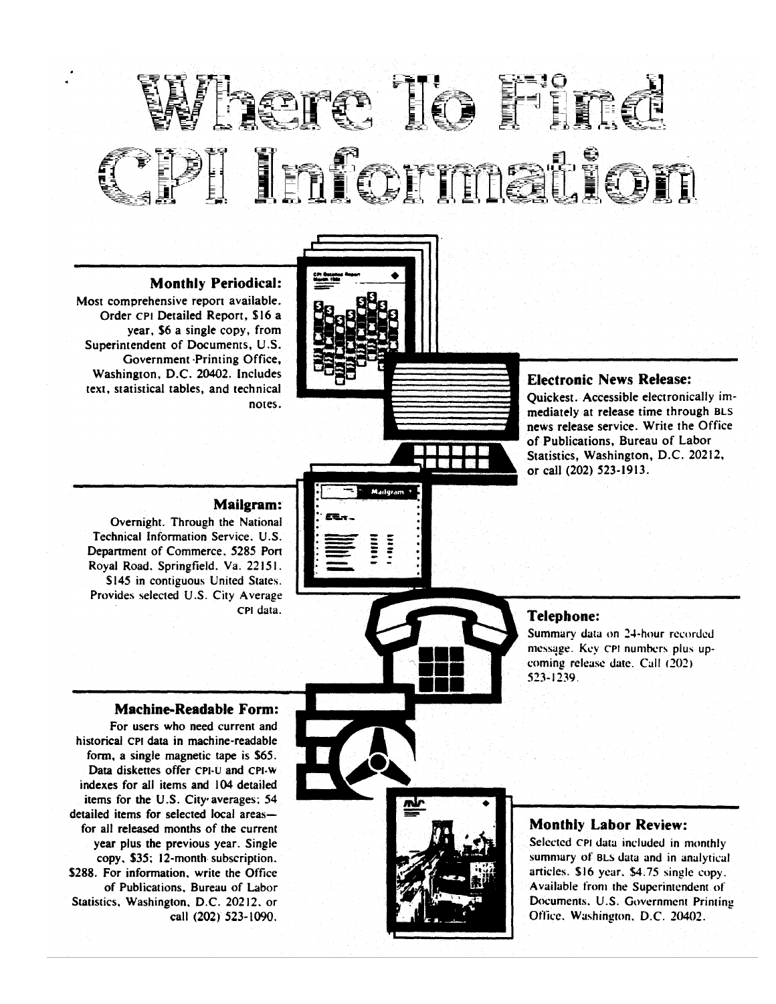# EIMA IO<br>EIMA IO i irên navê de

### **Monthly Periodical:**

Most comprehensive report available. Order CPI Detailed Report, \$16 a vear. \$6 a single copy, from Superintendent of Documents, U.S. Government Printing Office, Washington, D.C. 20402. Includes text, statistical tables, and technical notes.



#### **Electronic News Release:**

Ouickest. Accessible electronically immediately at release time through BLS news release service. Write the Office of Publications, Bureau of Labor Statistics, Washington, D.C. 20212, or call (202) 523-1913.

### **Mailgram:**

Overnight. Through the National Technical Information Service, U.S. Department of Commerce, 5285 Port Royal Road. Springfield. Va. 22151. \$145 in contiguous United States. Provides selected U.S. City Average CPI data.



#### **Telephone:**

Summary data on 24-hour recorded message. Key CPI numbers plus upcoming release date. Call (202) 523-1239.

#### **Machine-Readable Form:**

For users who need current and historical CPI data in machine-readable form, a single magnetic tape is \$65. Data diskettes offer CPI-U and CPI-W indexes for all items and 104 detailed items for the U.S. City averages; 54 detailed items for selected local areasfor all released months of the current year plus the previous year. Single copy, \$35; 12-month subscription. \$288. For information, write the Office of Publications, Bureau of Labor Statistics, Washington, D.C. 20212, or call (202) 523-1090.



#### **Monthly Labor Review:**

Selected CPI data included in monthly summary of BLS data and in analytical articles. \$16 year, \$4.75 single copy. Available from the Superintendent of Documents, U.S. Government Printing Office, Washington, D.C. 20402.